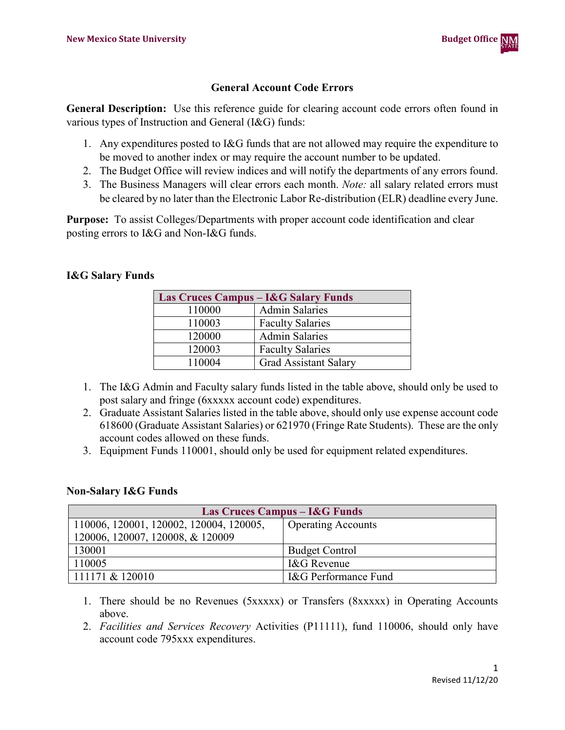

#### **General Account Code Errors**

**General Description:** Use this reference guide for clearing account code errors often found in various types of Instruction and General (I&G) funds:

- 1. Any expenditures posted to I&G funds that are not allowed may require the expenditure to be moved to another index or may require the account number to be updated.
- 2. The Budget Office will review indices and will notify the departments of any errors found.
- 3. The Business Managers will clear errors each month. *Note:* all salary related errors must be cleared by no later than the Electronic Labor Re-distribution (ELR) deadline every June.

**Purpose:** To assist Colleges/Departments with proper account code identification and clear posting errors to I&G and Non-I&G funds.

# **I&G Salary Funds**

| Las Cruces Campus – I&G Salary Funds |                              |  |  |  |
|--------------------------------------|------------------------------|--|--|--|
| 110000                               | <b>Admin Salaries</b>        |  |  |  |
| 110003                               | <b>Faculty Salaries</b>      |  |  |  |
| 120000                               | <b>Admin Salaries</b>        |  |  |  |
| 120003                               | <b>Faculty Salaries</b>      |  |  |  |
| 110004                               | <b>Grad Assistant Salary</b> |  |  |  |

- 1. The I&G Admin and Faculty salary funds listed in the table above, should only be used to post salary and fringe (6xxxxx account code) expenditures.
- 2. Graduate Assistant Salaries listed in the table above, should only use expense account code 618600 (Graduate Assistant Salaries) or 621970 (Fringe Rate Students). These are the only account codes allowed on these funds.
- 3. Equipment Funds 110001, should only be used for equipment related expenditures.

### **Non-Salary I&G Funds**

| Las Cruces Campus – I&G Funds           |                           |  |  |  |  |  |
|-----------------------------------------|---------------------------|--|--|--|--|--|
| 110006, 120001, 120002, 120004, 120005, | <b>Operating Accounts</b> |  |  |  |  |  |
| 120006, 120007, 120008, & 120009        |                           |  |  |  |  |  |
| 130001                                  | <b>Budget Control</b>     |  |  |  |  |  |
| 110005                                  | I&G Revenue               |  |  |  |  |  |
| 111171 & 120010                         | I&G Performance Fund      |  |  |  |  |  |

- 1. There should be no Revenues (5xxxxx) or Transfers (8xxxxx) in Operating Accounts above.
- 2. *Facilities and Services Recovery* Activities (P11111), fund 110006, should only have account code 795xxx expenditures.